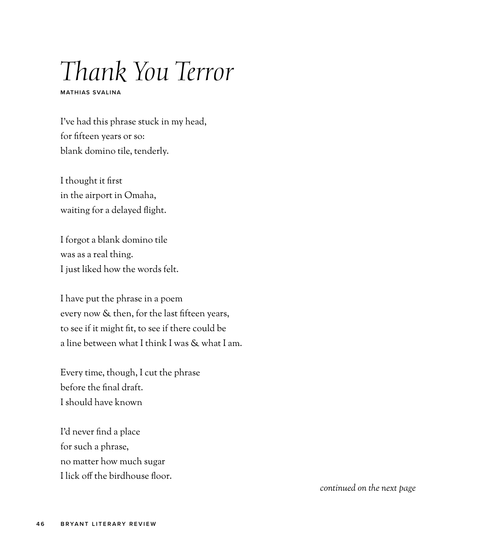## *Thank You Terror*

**MATHIAS SVALINA**

I've had this phrase stuck in my head, for fifteen years or so: blank domino tile, tenderly.

I thought it first in the airport in Omaha, waiting for a delayed flight.

I forgot a blank domino tile was as a real thing. I just liked how the words felt.

I have put the phrase in a poem every now & then, for the last fifteen years, to see if it might fit, to see if there could be a line between what I think I was & what I am.

Every time, though, I cut the phrase before the final draft. I should have known

I'd never find a place for such a phrase, no matter how much sugar I lick off the birdhouse floor.

*continued on the next page*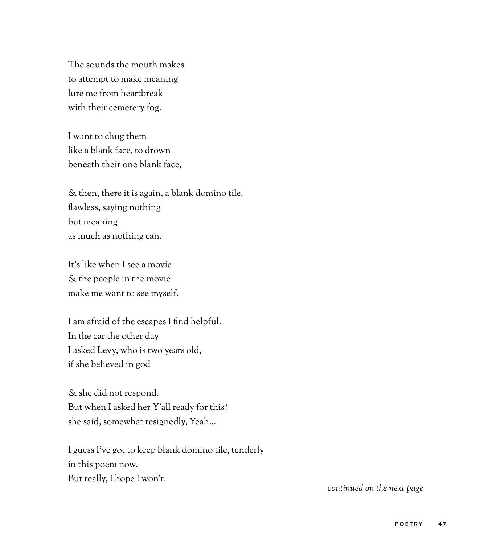The sounds the mouth makes to attempt to make meaning lure me from heartbreak with their cemetery fog.

I want to chug them like a blank face, to drown beneath their one blank face,

& then, there it is again, a blank domino tile, flawless, saying nothing but meaning as much as nothing can.

It's like when I see a movie & the people in the movie make me want to see myself.

I am afraid of the escapes I find helpful. In the car the other day I asked Levy, who is two years old, if she believed in god

& she did not respond. But when I asked her Y'all ready for this? she said, somewhat resignedly, Yeah...

I guess I've got to keep blank domino tile, tenderly in this poem now. But really, I hope I won't.

*continued on the next page*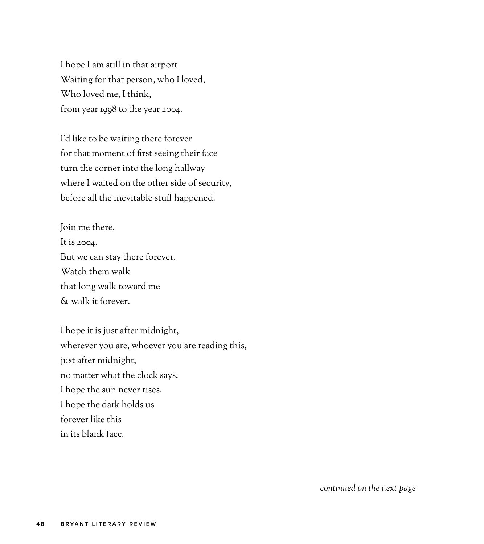I hope I am still in that airport Waiting for that person, who I loved, Who loved me, I think, from year 1998 to the year 2004.

I'd like to be waiting there forever for that moment of first seeing their face turn the corner into the long hallway where I waited on the other side of security, before all the inevitable stuff happened.

Join me there. It is 2004. But we can stay there forever. Watch them walk that long walk toward me & walk it forever.

I hope it is just after midnight, wherever you are, whoever you are reading this, just after midnight, no matter what the clock says. I hope the sun never rises. I hope the dark holds us forever like this in its blank face.

*continued on the next page*